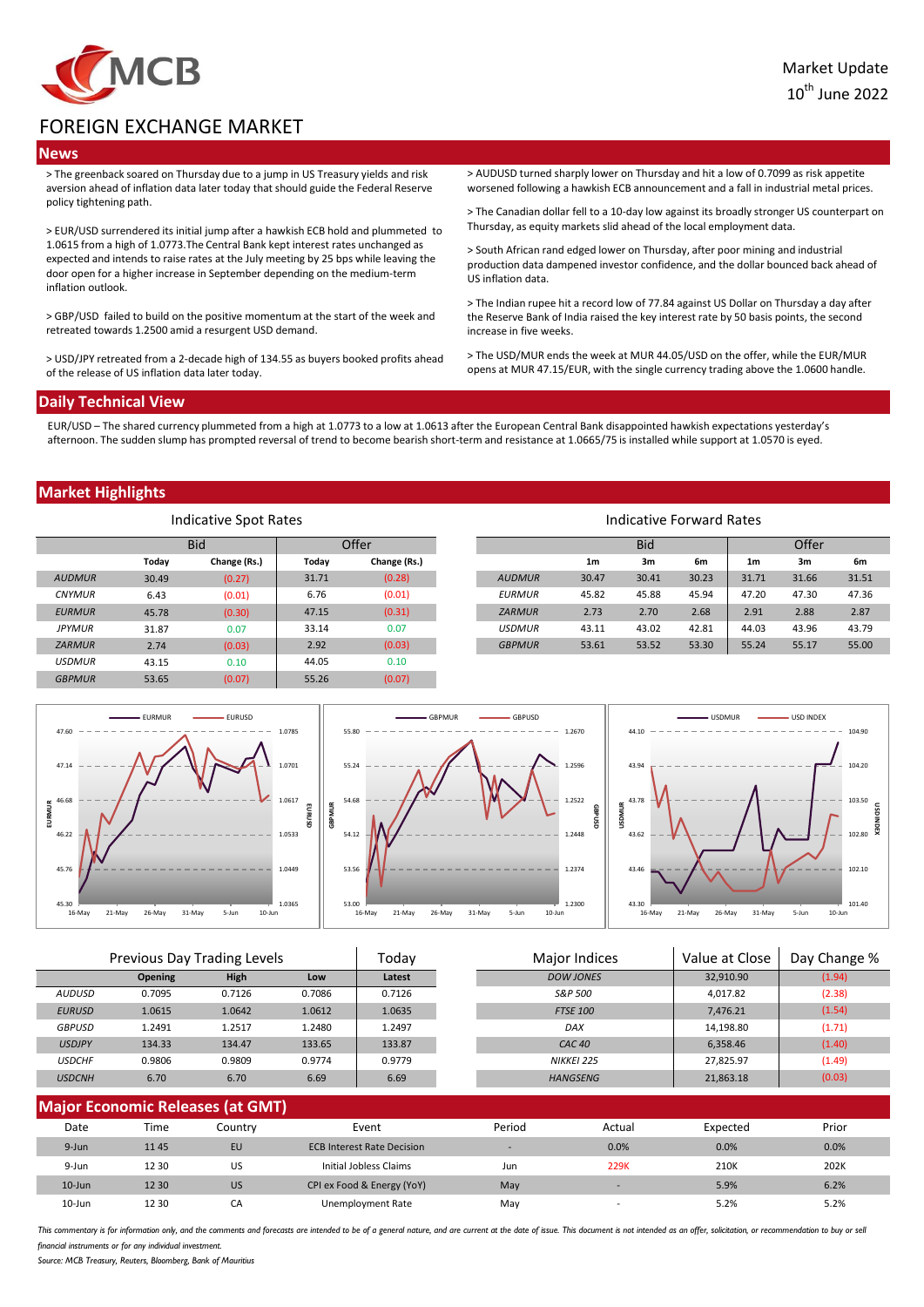

# FOREIGN EXCHANGE MARKET

### **News**

> The greenback soared on Thursday due to a jump in US Treasury yields and risk aversion ahead of inflation data later today that should guide the Federal Reserve policy tightening path.

> EUR/USD surrendered its initial jump after a hawkish ECB hold and plummeted to 1.0615 from a high of 1.0773.The Central Bank kept interest rates unchanged as expected and intends to raise rates at the July meeting by 25 bps while leaving the door open for a higher increase in September depending on the medium-term inflation outlook.

> GBP/USD failed to build on the positive momentum at the start of the week and retreated towards 1.2500 amid a resurgent USD demand.

> USD/JPY retreated from a 2-decade high of 134.55 as buyers booked profits ahead of the release of US inflation data later today.

> AUDUSD turned sharply lower on Thursday and hit a low of 0.7099 as risk appetite worsened following a hawkish ECB announcement and a fall in industrial metal prices.

> The Canadian dollar fell to a 10-day low against its broadly stronger US counterpart on Thursday, as equity markets slid ahead of the local employment data.

> South African rand edged lower on Thursday, after poor mining and industrial production data dampened investor confidence, and the dollar bounced back ahead of US inflation data.

> The Indian rupee hit a record low of 77.84 against US Dollar on Thursday a day after the Reserve Bank of India raised the key interest rate by 50 basis points, the second increase in five weeks.

> The USD/MUR ends the week at MUR 44.05/USD on the offer, while the EUR/MUR opens at MUR 47.15/EUR, with the single currency trading above the 1.0600 handle.

#### **Daily Technical View**

EUR/USD – The shared currency plummeted from a high at 1.0773 to a low at 1.0613 after the European Central Bank disappointed hawkish expectations yesterday's afternoon. The sudden slump has prompted reversal of trend to become bearish short-term and resistance at 1.0665/75 is installed while support at 1.0570 is eyed.

### **Market Highlights**

| Indicative Spot Rates |       |              |       |              |               |                | Indicative Forward Rates |       |                |       |       |
|-----------------------|-------|--------------|-------|--------------|---------------|----------------|--------------------------|-------|----------------|-------|-------|
|                       |       | <b>Bid</b>   |       | Offer        |               |                | <b>Bid</b>               |       |                | Offer |       |
|                       | Today | Change (Rs.) | Today | Change (Rs.) |               | 1 <sub>m</sub> | 3m                       | 6m    | 1 <sub>m</sub> | 3m    |       |
| <b>AUDMUR</b>         | 30.49 | (0.27)       | 31.71 | (0.28)       | <b>AUDMUR</b> | 30.47          | 30.41                    | 30.23 | 31.71          | 31.66 | 31.51 |
| <b>CNYMUR</b>         | 6.43  | (0.01)       | 6.76  | (0.01)       | <b>EURMUR</b> | 45.82          | 45.88                    | 45.94 | 47.20          | 47.30 | 47.36 |
| <b>EURMUR</b>         | 45.78 | (0.30)       | 47.15 | (0.31)       | <b>ZARMUR</b> | 2.73           | 2.70                     | 2.68  | 2.91           | 2.88  |       |
| <b>JPYMUR</b>         | 31.87 | 0.07         | 33.14 | 0.07         | <b>USDMUR</b> | 43.11          | 43.02                    | 42.81 | 44.03          | 43.96 | 43.79 |
| <b>ZARMUR</b>         | 2.74  | (0.03)       | 2.92  | (0.03)       | <b>GBPMUR</b> | 53.61          | 53.52                    | 53.30 | 55.24          | 55.17 | 55.00 |
| <b>USDMUR</b>         | 43.15 | 0.10         | 44.05 | 0.10         |               |                |                          |       |                |       |       |
| <b>GBPMUR</b>         | 53.65 | (0.07)       | 55.26 | (0.07)       |               |                |                          |       |                |       |       |



|               | Previous Day Trading Levels |        | Todav  |        | Major Indices | Value at Close    | Day Change % |        |
|---------------|-----------------------------|--------|--------|--------|---------------|-------------------|--------------|--------|
|               | <b>Opening</b>              | High   | Low    | Latest |               | <b>DOW JONES</b>  | 32,910.90    | (1.94) |
| AUDUSD        | 0.7095                      | 0.7126 | 0.7086 | 0.7126 |               | S&P 500           | 4.017.82     | (2.38) |
| <b>EURUSD</b> | 1.0615                      | 1.0642 | 1.0612 | 1.0635 |               | <b>FTSE 100</b>   | 7.476.21     | (1.54) |
| <b>GBPUSD</b> | 1.2491                      | 1.2517 | 1.2480 | L.2497 |               | DAX               | 14,198.80    | (1.71) |
| <b>USDJPY</b> | 134.33                      | 134.47 | 133.65 | 133.87 |               | CAC <sub>40</sub> | 6,358.46     | (1.40) |
| <b>USDCHF</b> | 0.9806                      | 0.9809 | 0.9774 | 0.9779 |               | NIKKEI 225        | 27,825.97    | (1.49) |
| <b>USDCNH</b> | 6.70                        | 6.70   | 6.69   | 6.69   |               | <b>HANGSENG</b>   | 21,863.18    | (0.03) |
|               |                             |        |        |        |               |                   |              |        |

| <b>Major Economic Releases (at GMT)</b> |       |           |                                   |            |                          |          |       |  |  |
|-----------------------------------------|-------|-----------|-----------------------------------|------------|--------------------------|----------|-------|--|--|
| Date                                    | Time  | Countrv   | Event                             | Period     | Actual                   | Expected | Prior |  |  |
| 9-Jun                                   | 1145  | EU        | <b>ECB Interest Rate Decision</b> | <b>COL</b> | 0.0%                     | 0.0%     | 0.0%  |  |  |
| 9-Jun                                   | 12 30 | US        | Initial Jobless Claims            | Jun        | 229K                     | 210K     | 202K  |  |  |
| $10$ -Jun                               | 12 30 | <b>US</b> | CPI ex Food & Energy (YoY)        | May        |                          | 5.9%     | 6.2%  |  |  |
| $10 - Jun$                              | 12 30 | CА        | Unemployment Rate                 | May        | $\overline{\phantom{a}}$ | 5.2%     | 5.2%  |  |  |

This commentary is for information only, and the comments and forecasts are intended to be of a general nature, and are current at the date of issue. This document is not intended as an offer, solicitation, or recommendati financial instruments or for any individual investment

*Source: MCB Treasury, Reuters, Bloomberg, Bank of Mauritius*